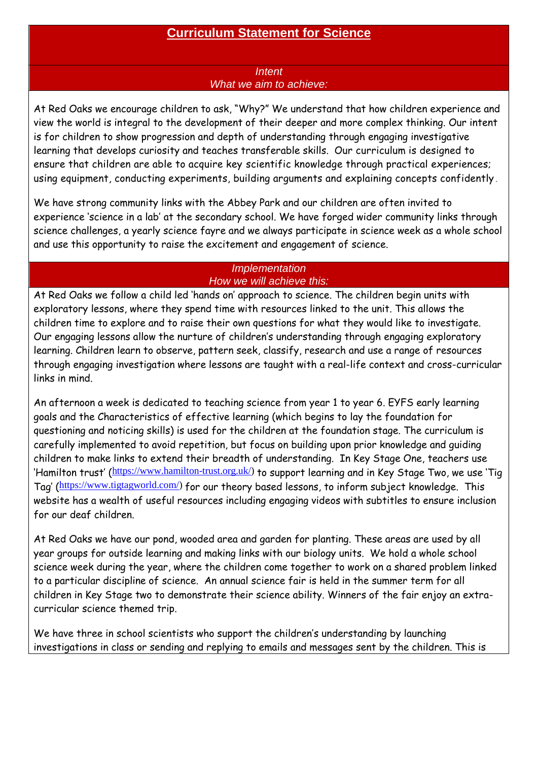## **Curriculum Statement for Science**

## *Intent What we aim to achieve:*

At Red Oaks we encourage children to ask, "Why?" We understand that how children experience and view the world is integral to the development of their deeper and more complex thinking. Our intent is for children to show progression and depth of understanding through engaging investigative learning that develops curiosity and teaches transferable skills. Our curriculum is designed to ensure that children are able to acquire key scientific knowledge through practical experiences; using equipment, conducting experiments, building arguments and explaining concepts confidently .

We have strong community links with the Abbey Park and our children are often invited to experience 'science in a lab' at the secondary school. We have forged wider community links through science challenges, a yearly science fayre and we always participate in science week as a whole school and use this opportunity to raise the excitement and engagement of science.

## *Implementation How we will achieve this:*

At Red Oaks we follow a child led 'hands on' approach to science. The children begin units with exploratory lessons, where they spend time with resources linked to the unit. This allows the children time to explore and to raise their own questions for what they would like to investigate. Our engaging lessons allow the nurture of children's understanding through engaging exploratory learning. Children learn to observe, pattern seek, classify, research and use a range of resources through engaging investigation where lessons are taught with a real-life context and cross-curricular links in mind.

An afternoon a week is dedicated to teaching science from year 1 to year 6. EYFS early learning goals and the Characteristics of effective learning (which begins to lay the foundation for questioning and noticing skills) is used for the children at the foundation stage. The curriculum is carefully implemented to avoid repetition, but focus on building upon prior knowledge and guiding children to make links to extend their breadth of understanding. In Key Stage One, teachers use 'Hamilton trust' ([https://www.hamilton-trust.org.uk/\)](https://www.hamilton-trust.org.uk/) to support learning and in Key Stage Two, we use 'Tig Tag' ([https://www.tigtagworld.com/\)](https://www.tigtagworld.com/) for our theory based lessons, to inform subject knowledge. This website has a wealth of useful resources including engaging videos with subtitles to ensure inclusion for our deaf children.

At Red Oaks we have our pond, wooded area and garden for planting. These areas are used by all year groups for outside learning and making links with our biology units. We hold a whole school science week during the year, where the children come together to work on a shared problem linked to a particular discipline of science. An annual science fair is held in the summer term for all children in Key Stage two to demonstrate their science ability. Winners of the fair enjoy an extracurricular science themed trip.

We have three in school scientists who support the children's understanding by launching investigations in class or sending and replying to emails and messages sent by the children. This is